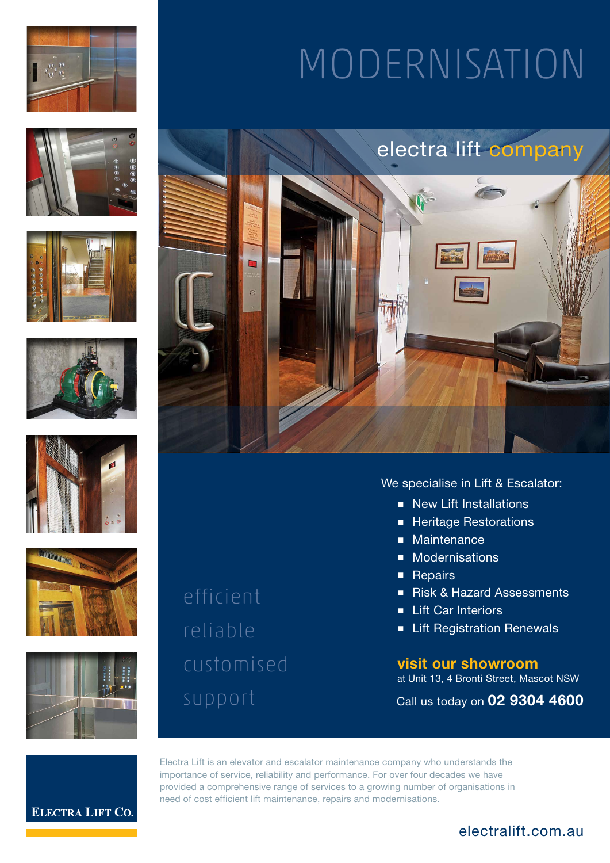













efficient reliable customised MODERNISATION



# We specialise in Lift & Escalator:

- New Lift Installations
- Heritage Restorations
- Maintenance
- Modernisations
- Repairs
- Risk & Hazard Assessments
- Lift Car Interiors
- Lift Registration Renewals

**visit our showroom** at Unit 13, 4 Bronti Street, Mascot NSW

Call us today on **02 9304 4600**

**ELECTRA LIFT CO.** 

Electra Lift is an elevator and escalator maintenance company who understands the importance of service, reliability and performance. For over four decades we have provided a comprehensive range of services to a growing number of organisations in need of cost efficient lift maintenance, repairs and modernisations.

# electralift.com.au